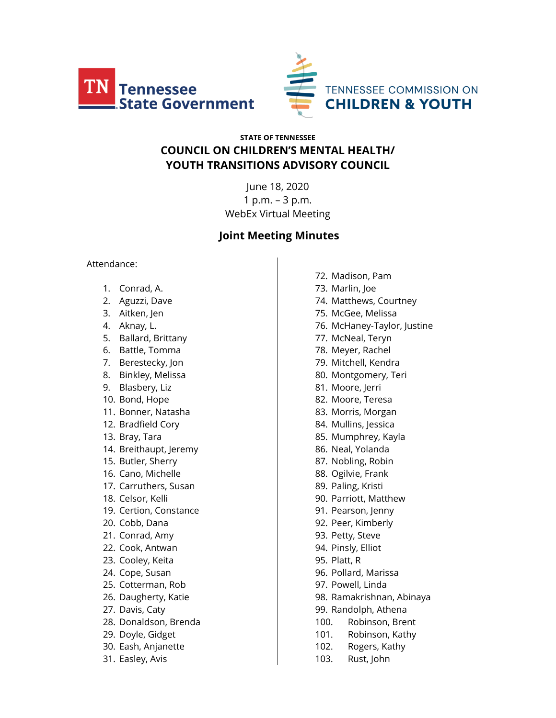



# **STATE OF TENNESSEE COUNCIL ON CHILDREN'S MENTAL HEALTH/ YOUTH TRANSITIONS ADVISORY COUNCIL**

June 18, 2020 1 p.m. – 3 p.m. WebEx Virtual Meeting

# **Joint Meeting Minutes**

#### Attendance:

- 1. Conrad, A.
- 2. Aguzzi, Dave
- 3. Aitken, Jen
- 4. Aknay, L.
- 5. Ballard, Brittany
- 6. Battle, Tomma
- 7. Berestecky, Jon
- 8. Binkley, Melissa
- 9. Blasbery, Liz
- 10. Bond, Hope
- 11. Bonner, Natasha
- 12. Bradfield Cory
- 13. Bray, Tara
- 14. Breithaupt, Jeremy
- 15. Butler, Sherry
- 16. Cano, Michelle
- 17. Carruthers, Susan
- 18. Celsor, Kelli
- 19. Certion, Constance
- 20. Cobb, Dana
- 21. Conrad, Amy
- 22. Cook, Antwan
- 23. Cooley, Keita
- 24. Cope, Susan
- 25. Cotterman, Rob
- 26. Daugherty, Katie
- 27. Davis, Caty
- 28. Donaldson, Brenda
- 29. Doyle, Gidget
- 30. Eash, Anjanette
- 31. Easley, Avis

72. Madison, Pam 73. Marlin, Joe 74. Matthews, Courtney 75. McGee, Melissa 76. McHaney-Taylor, Justine 77. McNeal, Teryn 78. Meyer, Rachel 79. Mitchell, Kendra 80. Montgomery, Teri 81. Moore, Jerri 82. Moore, Teresa 83. Morris, Morgan 84. Mullins, Jessica 85. Mumphrey, Kayla 86. Neal, Yolanda 87. Nobling, Robin 88. Ogilvie, Frank 89. Paling, Kristi 90. Parriott, Matthew 91. Pearson, Jenny 92. Peer, Kimberly 93. Petty, Steve 94. Pinsly, Elliot 95. Platt, R 96. Pollard, Marissa 97. Powell, Linda 98. Ramakrishnan, Abinaya 99. Randolph, Athena 100. Robinson, Brent 101. Robinson, Kathy 102. Rogers, Kathy

103. Rust, John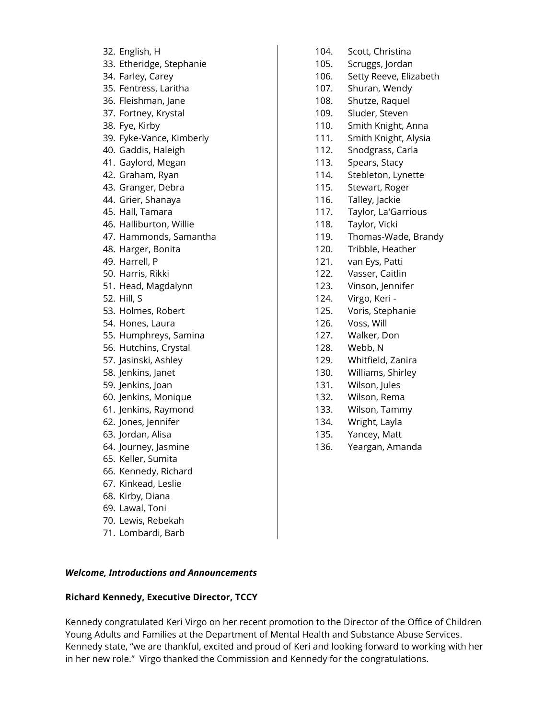- 32. English, H
- 33. Etheridge, Stephanie
- 34. Farley, Carey
- 35. Fentress, Laritha
- 36. Fleishman, Jane
- 37. Fortney, Krystal
- 38. Fye, Kirby
- 39. Fyke-Vance, Kimberly
- 40. Gaddis, Haleigh
- 41. Gaylord, Megan
- 42. Graham, Ryan
- 43. Granger, Debra
- 44. Grier, Shanaya
- 45. Hall, Tamara
- 46. Halliburton, Willie
- 47. Hammonds, Samantha
- 48. Harger, Bonita
- 49. Harrell, P
- 50. Harris, Rikki
- 51. Head, Magdalynn
- 52. Hill, S
- 53. Holmes, Robert
- 54. Hones, Laura
- 55. Humphreys, Samina
- 56. Hutchins, Crystal
- 57. Jasinski, Ashley
- 58. Jenkins, Janet
- 59. Jenkins, Joan
- 60. Jenkins, Monique
- 61. Jenkins, Raymond
- 62. Jones, Jennifer
- 63. Jordan, Alisa
- 64. Journey, Jasmine
- 65. Keller, Sumita
- 66. Kennedy, Richard
- 67. Kinkead, Leslie
- 68. Kirby, Diana
- 69. Lawal, Toni
- 70. Lewis, Rebekah
- 71. Lombardi, Barb
- 104. Scott, Christina
- 105. Scruggs, Jordan
- 106. Setty Reeve, Elizabeth
- 107. Shuran, Wendy
- 108. Shutze, Raquel
- 109. Sluder, Steven
- 110. Smith Knight, Anna
- 111. Smith Knight, Alysia
- 112. Snodgrass, Carla
- 113. Spears, Stacy
- 114. Stebleton, Lynette
- 115. Stewart, Roger
- 116. Talley, Jackie
- 117. Taylor, La'Garrious
- 118. Taylor, Vicki
- 119. Thomas-Wade, Brandy
- 120. Tribble, Heather
- 121. van Eys, Patti
- 122. Vasser, Caitlin
- 123. Vinson, Jennifer
- 124. Virgo, Keri -
- 125. Voris, Stephanie
- 126. Voss, Will
- 127. Walker, Don
- 128. Webb, N
- 129. Whitfield, Zanira
- 130. Williams, Shirley
- 131. Wilson, Jules
- 132. Wilson, Rema
- 133. Wilson, Tammy
- 134. Wright, Layla
- 135. Yancey, Matt
- 136. Yeargan, Amanda

*Welcome, Introductions and Announcements*

#### **Richard Kennedy, Executive Director, TCCY**

Kennedy congratulated Keri Virgo on her recent promotion to the Director of the Office of Children Young Adults and Families at the Department of Mental Health and Substance Abuse Services. Kennedy state, "we are thankful, excited and proud of Keri and looking forward to working with her in her new role." Virgo thanked the Commission and Kennedy for the congratulations.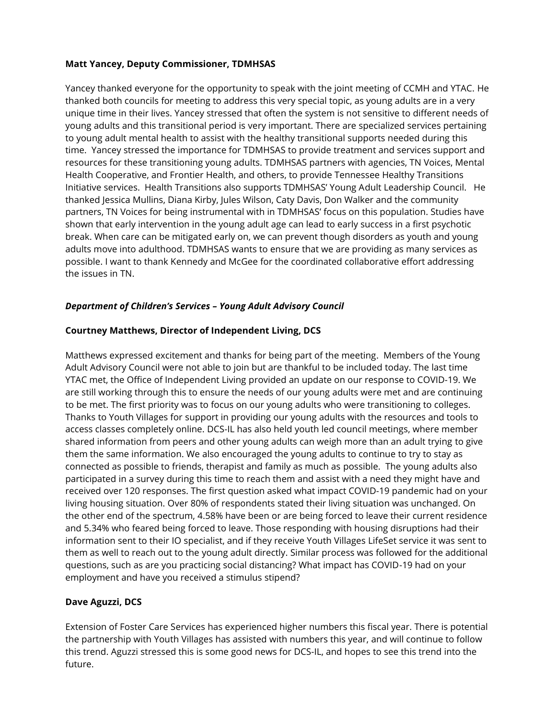#### **Matt Yancey, Deputy Commissioner, TDMHSAS**

Yancey thanked everyone for the opportunity to speak with the joint meeting of CCMH and YTAC. He thanked both councils for meeting to address this very special topic, as young adults are in a very unique time in their lives. Yancey stressed that often the system is not sensitive to different needs of young adults and this transitional period is very important. There are specialized services pertaining to young adult mental health to assist with the healthy transitional supports needed during this time. Yancey stressed the importance for TDMHSAS to provide treatment and services support and resources for these transitioning young adults. TDMHSAS partners with agencies, TN Voices, Mental Health Cooperative, and Frontier Health, and others, to provide Tennessee Healthy Transitions Initiative services. Health Transitions also supports TDMHSAS' Young Adult Leadership Council. He thanked Jessica Mullins, Diana Kirby, Jules Wilson, Caty Davis, Don Walker and the community partners, TN Voices for being instrumental with in TDMHSAS' focus on this population. Studies have shown that early intervention in the young adult age can lead to early success in a first psychotic break. When care can be mitigated early on, we can prevent though disorders as youth and young adults move into adulthood. TDMHSAS wants to ensure that we are providing as many services as possible. I want to thank Kennedy and McGee for the coordinated collaborative effort addressing the issues in TN.

# *Department of Children's Services – Young Adult Advisory Council*

#### **Courtney Matthews, Director of Independent Living, DCS**

Matthews expressed excitement and thanks for being part of the meeting. Members of the Young Adult Advisory Council were not able to join but are thankful to be included today. The last time YTAC met, the Office of Independent Living provided an update on our response to COVID-19. We are still working through this to ensure the needs of our young adults were met and are continuing to be met. The first priority was to focus on our young adults who were transitioning to colleges. Thanks to Youth Villages for support in providing our young adults with the resources and tools to access classes completely online. DCS-IL has also held youth led council meetings, where member shared information from peers and other young adults can weigh more than an adult trying to give them the same information. We also encouraged the young adults to continue to try to stay as connected as possible to friends, therapist and family as much as possible. The young adults also participated in a survey during this time to reach them and assist with a need they might have and received over 120 responses. The first question asked what impact COVID-19 pandemic had on your living housing situation. Over 80% of respondents stated their living situation was unchanged. On the other end of the spectrum, 4.58% have been or are being forced to leave their current residence and 5.34% who feared being forced to leave. Those responding with housing disruptions had their information sent to their IO specialist, and if they receive Youth Villages LifeSet service it was sent to them as well to reach out to the young adult directly. Similar process was followed for the additional questions, such as are you practicing social distancing? What impact has COVID-19 had on your employment and have you received a stimulus stipend?

#### **Dave Aguzzi, DCS**

Extension of Foster Care Services has experienced higher numbers this fiscal year. There is potential the partnership with Youth Villages has assisted with numbers this year, and will continue to follow this trend. Aguzzi stressed this is some good news for DCS-IL, and hopes to see this trend into the future.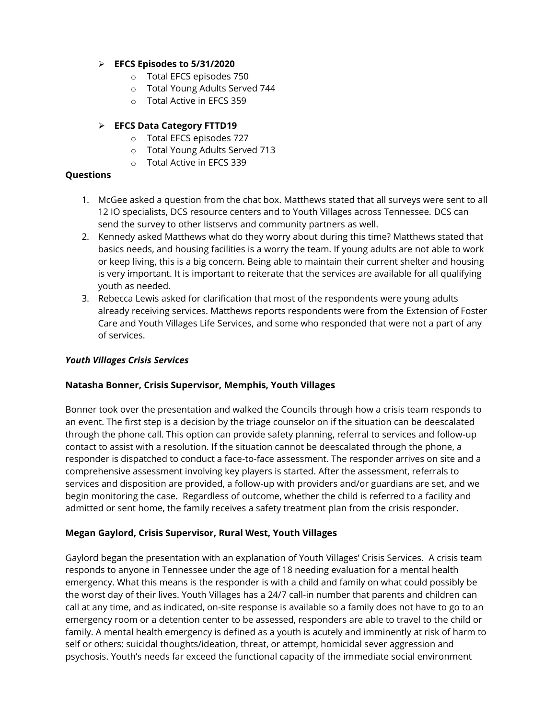# ➢ **EFCS Episodes to 5/31/2020**

- o Total EFCS episodes 750
- o Total Young Adults Served 744
- o Total Active in EFCS 359

# ➢ **EFCS Data Category FTTD19**

- o Total EFCS episodes 727
- o Total Young Adults Served 713
- o Total Active in EFCS 339

#### **Questions**

- 1. McGee asked a question from the chat box. Matthews stated that all surveys were sent to all 12 IO specialists, DCS resource centers and to Youth Villages across Tennessee. DCS can send the survey to other listservs and community partners as well.
- 2. Kennedy asked Matthews what do they worry about during this time? Matthews stated that basics needs, and housing facilities is a worry the team. If young adults are not able to work or keep living, this is a big concern. Being able to maintain their current shelter and housing is very important. It is important to reiterate that the services are available for all qualifying youth as needed.
- 3. Rebecca Lewis asked for clarification that most of the respondents were young adults already receiving services. Matthews reports respondents were from the Extension of Foster Care and Youth Villages Life Services, and some who responded that were not a part of any of services.

#### *Youth Villages Crisis Services*

# **Natasha Bonner, Crisis Supervisor, Memphis, Youth Villages**

Bonner took over the presentation and walked the Councils through how a crisis team responds to an event. The first step is a decision by the triage counselor on if the situation can be deescalated through the phone call. This option can provide safety planning, referral to services and follow-up contact to assist with a resolution. If the situation cannot be deescalated through the phone, a responder is dispatched to conduct a face-to-face assessment. The responder arrives on site and a comprehensive assessment involving key players is started. After the assessment, referrals to services and disposition are provided, a follow-up with providers and/or guardians are set, and we begin monitoring the case. Regardless of outcome, whether the child is referred to a facility and admitted or sent home, the family receives a safety treatment plan from the crisis responder.

# **Megan Gaylord, Crisis Supervisor, Rural West, Youth Villages**

Gaylord began the presentation with an explanation of Youth Villages' Crisis Services. A crisis team responds to anyone in Tennessee under the age of 18 needing evaluation for a mental health emergency. What this means is the responder is with a child and family on what could possibly be the worst day of their lives. Youth Villages has a 24/7 call-in number that parents and children can call at any time, and as indicated, on-site response is available so a family does not have to go to an emergency room or a detention center to be assessed, responders are able to travel to the child or family. A mental health emergency is defined as a youth is acutely and imminently at risk of harm to self or others: suicidal thoughts/ideation, threat, or attempt, homicidal sever aggression and psychosis. Youth's needs far exceed the functional capacity of the immediate social environment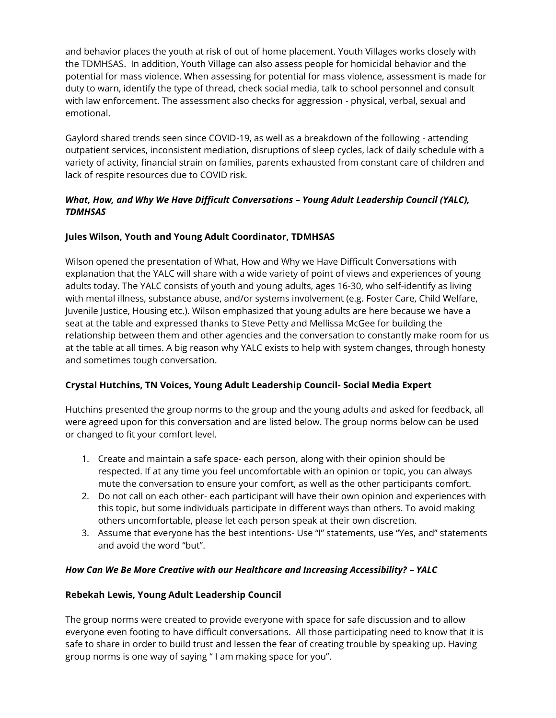and behavior places the youth at risk of out of home placement. Youth Villages works closely with the TDMHSAS. In addition, Youth Village can also assess people for homicidal behavior and the potential for mass violence. When assessing for potential for mass violence, assessment is made for duty to warn, identify the type of thread, check social media, talk to school personnel and consult with law enforcement. The assessment also checks for aggression - physical, verbal, sexual and emotional.

Gaylord shared trends seen since COVID-19, as well as a breakdown of the following - attending outpatient services, inconsistent mediation, disruptions of sleep cycles, lack of daily schedule with a variety of activity, financial strain on families, parents exhausted from constant care of children and lack of respite resources due to COVID risk.

# *What, How, and Why We Have Difficult Conversations – Young Adult Leadership Council (YALC), TDMHSAS*

# **Jules Wilson, Youth and Young Adult Coordinator, TDMHSAS**

Wilson opened the presentation of What, How and Why we Have Difficult Conversations with explanation that the YALC will share with a wide variety of point of views and experiences of young adults today. The YALC consists of youth and young adults, ages 16-30, who self-identify as living with mental illness, substance abuse, and/or systems involvement (e.g. Foster Care, Child Welfare, Juvenile Justice, Housing etc.). Wilson emphasized that young adults are here because we have a seat at the table and expressed thanks to Steve Petty and Mellissa McGee for building the relationship between them and other agencies and the conversation to constantly make room for us at the table at all times. A big reason why YALC exists to help with system changes, through honesty and sometimes tough conversation.

# **Crystal Hutchins, TN Voices, Young Adult Leadership Council- Social Media Expert**

Hutchins presented the group norms to the group and the young adults and asked for feedback, all were agreed upon for this conversation and are listed below. The group norms below can be used or changed to fit your comfort level.

- 1. Create and maintain a safe space- each person, along with their opinion should be respected. If at any time you feel uncomfortable with an opinion or topic, you can always mute the conversation to ensure your comfort, as well as the other participants comfort.
- 2. Do not call on each other- each participant will have their own opinion and experiences with this topic, but some individuals participate in different ways than others. To avoid making others uncomfortable, please let each person speak at their own discretion.
- 3. Assume that everyone has the best intentions- Use "I" statements, use "Yes, and" statements and avoid the word "but".

# *How Can We Be More Creative with our Healthcare and Increasing Accessibility? – YALC*

# **Rebekah Lewis, Young Adult Leadership Council**

The group norms were created to provide everyone with space for safe discussion and to allow everyone even footing to have difficult conversations. All those participating need to know that it is safe to share in order to build trust and lessen the fear of creating trouble by speaking up. Having group norms is one way of saying " I am making space for you".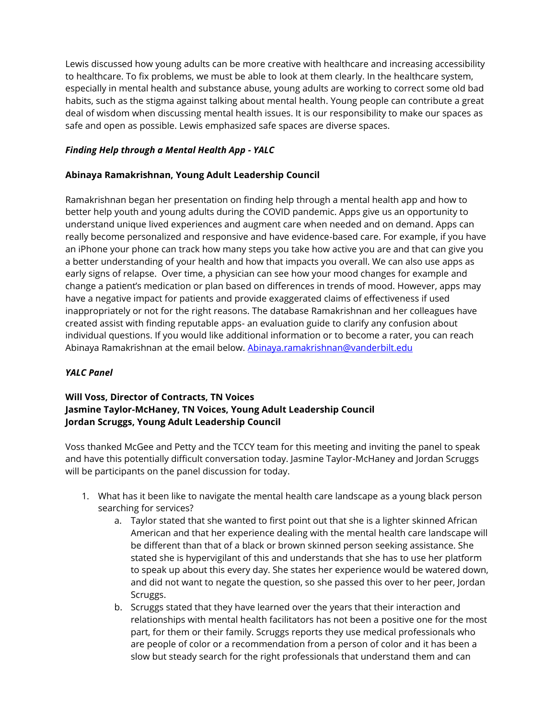Lewis discussed how young adults can be more creative with healthcare and increasing accessibility to healthcare. To fix problems, we must be able to look at them clearly. In the healthcare system, especially in mental health and substance abuse, young adults are working to correct some old bad habits, such as the stigma against talking about mental health. Young people can contribute a great deal of wisdom when discussing mental health issues. It is our responsibility to make our spaces as safe and open as possible. Lewis emphasized safe spaces are diverse spaces.

# *Finding Help through a Mental Health App - YALC*

#### **Abinaya Ramakrishnan, Young Adult Leadership Council**

Ramakrishnan began her presentation on finding help through a mental health app and how to better help youth and young adults during the COVID pandemic. Apps give us an opportunity to understand unique lived experiences and augment care when needed and on demand. Apps can really become personalized and responsive and have evidence-based care. For example, if you have an iPhone your phone can track how many steps you take how active you are and that can give you a better understanding of your health and how that impacts you overall. We can also use apps as early signs of relapse. Over time, a physician can see how your mood changes for example and change a patient's medication or plan based on differences in trends of mood. However, apps may have a negative impact for patients and provide exaggerated claims of effectiveness if used inappropriately or not for the right reasons. The database Ramakrishnan and her colleagues have created assist with finding reputable apps- an evaluation guide to clarify any confusion about individual questions. If you would like additional information or to become a rater, you can reach Abinaya Ramakrishnan at the email below[. Abinaya.ramakrishnan@vanderbilt.edu](mailto:Abinaya.ramakrishnan@vanderbilt.edu)

#### *YALC Panel*

# **Will Voss, Director of Contracts, TN Voices Jasmine Taylor-McHaney, TN Voices, Young Adult Leadership Council Jordan Scruggs, Young Adult Leadership Council**

Voss thanked McGee and Petty and the TCCY team for this meeting and inviting the panel to speak and have this potentially difficult conversation today. Jasmine Taylor-McHaney and Jordan Scruggs will be participants on the panel discussion for today.

- 1. What has it been like to navigate the mental health care landscape as a young black person searching for services?
	- a. Taylor stated that she wanted to first point out that she is a lighter skinned African American and that her experience dealing with the mental health care landscape will be different than that of a black or brown skinned person seeking assistance. She stated she is hypervigilant of this and understands that she has to use her platform to speak up about this every day. She states her experience would be watered down, and did not want to negate the question, so she passed this over to her peer, Jordan Scruggs.
	- b. Scruggs stated that they have learned over the years that their interaction and relationships with mental health facilitators has not been a positive one for the most part, for them or their family. Scruggs reports they use medical professionals who are people of color or a recommendation from a person of color and it has been a slow but steady search for the right professionals that understand them and can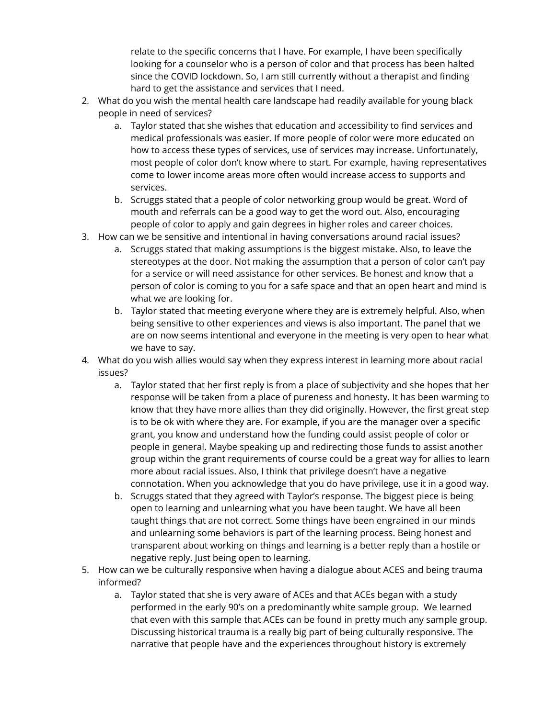relate to the specific concerns that I have. For example, I have been specifically looking for a counselor who is a person of color and that process has been halted since the COVID lockdown. So, I am still currently without a therapist and finding hard to get the assistance and services that I need.

- 2. What do you wish the mental health care landscape had readily available for young black people in need of services?
	- a. Taylor stated that she wishes that education and accessibility to find services and medical professionals was easier. If more people of color were more educated on how to access these types of services, use of services may increase. Unfortunately, most people of color don't know where to start. For example, having representatives come to lower income areas more often would increase access to supports and services.
	- b. Scruggs stated that a people of color networking group would be great. Word of mouth and referrals can be a good way to get the word out. Also, encouraging people of color to apply and gain degrees in higher roles and career choices.
- 3. How can we be sensitive and intentional in having conversations around racial issues?
	- a. Scruggs stated that making assumptions is the biggest mistake. Also, to leave the stereotypes at the door. Not making the assumption that a person of color can't pay for a service or will need assistance for other services. Be honest and know that a person of color is coming to you for a safe space and that an open heart and mind is what we are looking for.
	- b. Taylor stated that meeting everyone where they are is extremely helpful. Also, when being sensitive to other experiences and views is also important. The panel that we are on now seems intentional and everyone in the meeting is very open to hear what we have to say.
- 4. What do you wish allies would say when they express interest in learning more about racial issues?
	- a. Taylor stated that her first reply is from a place of subjectivity and she hopes that her response will be taken from a place of pureness and honesty. It has been warming to know that they have more allies than they did originally. However, the first great step is to be ok with where they are. For example, if you are the manager over a specific grant, you know and understand how the funding could assist people of color or people in general. Maybe speaking up and redirecting those funds to assist another group within the grant requirements of course could be a great way for allies to learn more about racial issues. Also, I think that privilege doesn't have a negative connotation. When you acknowledge that you do have privilege, use it in a good way.
	- b. Scruggs stated that they agreed with Taylor's response. The biggest piece is being open to learning and unlearning what you have been taught. We have all been taught things that are not correct. Some things have been engrained in our minds and unlearning some behaviors is part of the learning process. Being honest and transparent about working on things and learning is a better reply than a hostile or negative reply. Just being open to learning.
- 5. How can we be culturally responsive when having a dialogue about ACES and being trauma informed?
	- a. Taylor stated that she is very aware of ACEs and that ACEs began with a study performed in the early 90's on a predominantly white sample group. We learned that even with this sample that ACEs can be found in pretty much any sample group. Discussing historical trauma is a really big part of being culturally responsive. The narrative that people have and the experiences throughout history is extremely